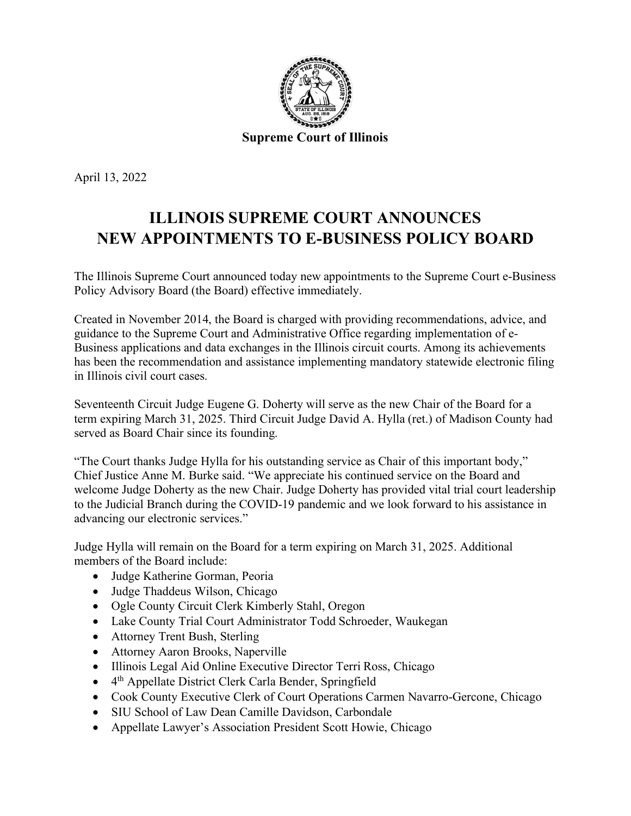

April 13, 2022

## **ILLINOIS SUPREME COURT ANNOUNCES NEW APPOINTMENTS TO E-BUSINESS POLICY BOARD**

The Illinois Supreme Court announced today new appointments to the Supreme Court e-Business Policy Advisory Board (the Board) effective immediately.

Created in November 2014, the Board is charged with providing recommendations, advice, and guidance to the Supreme Court and Administrative Office regarding implementation of e-Business applications and data exchanges in the Illinois circuit courts. Among its achievements has been the recommendation and assistance implementing mandatory statewide electronic filing in Illinois civil court cases.

Seventeenth Circuit Judge Eugene G. Doherty will serve as the new Chair of the Board for a term expiring March 31, 2025. Third Circuit Judge David A. Hylla (ret.) of Madison County had served as Board Chair since its founding.

"The Court thanks Judge Hylla for his outstanding service as Chair of this important body," Chief Justice Anne M. Burke said. "We appreciate his continued service on the Board and welcome Judge Doherty as the new Chair. Judge Doherty has provided vital trial court leadership to the Judicial Branch during the COVID-19 pandemic and we look forward to his assistance in advancing our electronic services."

Judge Hylla will remain on the Board for a term expiring on March 31, 2025. Additional members of the Board include:

- Judge Katherine Gorman, Peoria
- Judge Thaddeus Wilson, Chicago
- Ogle County Circuit Clerk Kimberly Stahl, Oregon
- Lake County Trial Court Administrator Todd Schroeder, Waukegan
- Attorney Trent Bush, Sterling
- Attorney Aaron Brooks, Naperville
- Illinois Legal Aid Online Executive Director Terri Ross, Chicago
- $\bullet$  4<sup>th</sup> Appellate District Clerk Carla Bender, Springfield
- Cook County Executive Clerk of Court Operations Carmen Navarro-Gercone, Chicago
- SIU School of Law Dean Camille Davidson, Carbondale
- Appellate Lawyer's Association President Scott Howie, Chicago